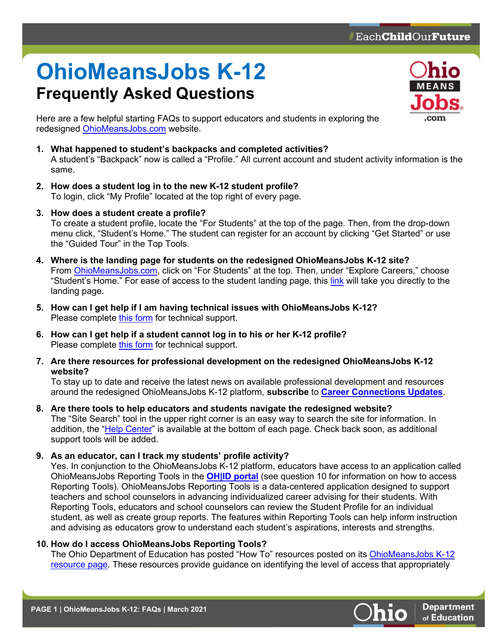## **OhioMeansJobs K-12 Frequently Asked Questions**



Here are a few helpful starting FAQs to support educators and students in exploring the redesigned [OhioMeansJobs.com](https://ohiomeansjobs.ohio.gov/wps/portal/gov/omj/) website.

- **1. What happened to student's backpacks and completed activities?** A student's "Backpack" now is called a "Profile." All current account and student activity information is the same.
- **2. How does a student log in to the new K-12 student profile?** To login, click "My Profile" located at the top right of every page.
- **3. How does a student create a profile?** To create a student profile, locate the "For Students" at the top of the page. Then, from the drop-down menu click, "Student's Home." The student can register for an account by clicking "Get Started" or use the "Guided Tour" in the Top Tools.
- **4. Where is the landing page for students on the redesigned OhioMeansJobs K-12 site?** From [OhioMeansJobs.com,](https://ohiomeansjobs.ohio.gov/wps/portal/gov/omj/) click on "For Students" at the top. Then, under "Explore Careers," choose "Student's Home." For ease of access to the student landing page, this [link](https://ohiomeansjobs.ohio.gov/wps/portal/gov/omj/for-students/explore-careers/student-home) will take you directly to the landing page.
- **5. How can I get help if I am having technical issues with OhioMeansJobs K-12?** Please complete this [form](https://ohiomeansjobs.ohio.gov/wps/portal/gov/omj/news-and-events/contact-us/contact-us) for technical support.
- **6. How can I get help if a student cannot log in to his or her K-12 profile?** Please complete [this form](https://ohiomeansjobs.ohio.gov/wps/portal/gov/omj/news-and-events/contact-us/contact-us) for technical support.
- **7. Are there resources for professional development on the redesigned OhioMeansJobs K-12 website?**

To stay up to date and receive the latest news on available professional development and resources around the redesigned OhioMeansJobs K-12 platform, **subscribe** to **[Career Connections Updates](https://public.govdelivery.com/accounts/OHED/subscriber/new)**.

**8. Are there tools to help educators and students navigate the redesigned website?** The "Site Search" tool in the upper right corner is an easy way to search the site for information. In addition, the ["Help Center"](https://ohiomeansjobs.ohio.gov/wps/portal/gov/omj/help-center) is available at the bottom of each page. Check back soon, as additional support tools will be added.

**9. As an educator, can I track my students' profile activity?**

Yes. In conjunction to the OhioMeansJobs K-12 platform, educators have access to an application called OhioMeansJobs Reporting Tools in the **[OH|ID portal](https://safe.ode.state.oh.us/portal)** (see question 10 for information on how to access Reporting Tools). OhioMeansJobs Reporting Tools is a data-centered application designed to support teachers and school counselors in advancing individualized career advising for their students. With Reporting Tools, educators and school counselors can review the Student Profile for an individual student, as well as create group reports. The features within Reporting Tools can help inform instruction and advising as educators grow to understand each student's aspirations, interests and strengths. 

## **10. How do I access OhioMeansJobs Reporting Tools?**

The Ohio Department of Education has posted "How To" resources posted on its OhioMeansJobs K-12 [resource page.](http://education.ohio.gov/Topics/Career-Tech/Career-Connections/OhioMeansJobs-K-12) These resources provide guidance on identifying the level of access that appropriately